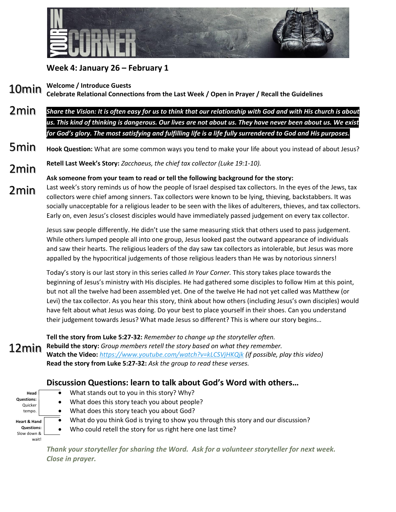

## **Week 4: January 26 – February 1**

**Welcome / Introduce Guests** 10min

**Celebrate Relational Connections from the Last Week / Open in Prayer / Recall the Guidelines**

- *Share the Vision: It is often easy for us to think that our relationship with God and with His church is about us. This kind of thinking is dangerous. Our lives are not about us. They have never been about us. We exist for God's glory. The most satisfying and fulfilling life is a life fully surrendered to God and His purposes.* 2min
- **Hook Question:** What are some common ways you tend to make your life about you instead of about Jesus? 5min

**Retell Last Week's Story:** *Zacchaeus, the chief tax collector (Luke 19:1-10).* 2min

**Ask someone from your team to read or tell the following background for the story:**

Last week's story reminds us of how the people of Israel despised tax collectors. In the eyes of the Jews, tax collectors were chief among sinners. Tax collectors were known to be lying, thieving, backstabbers. It was socially unacceptable for a religious leader to be seen with the likes of adulterers, thieves, and tax collectors. Early on, even Jesus's closest disciples would have immediately passed judgement on every tax collector. 2min

> Jesus saw people differently. He didn't use the same measuring stick that others used to pass judgement. While others lumped people all into one group, Jesus looked past the outward appearance of individuals and saw their hearts. The religious leaders of the day saw tax collectors as intolerable, but Jesus was more appalled by the hypocritical judgements of those religious leaders than He was by notorious sinners!

Today's story is our last story in this series called *In Your Corner.* This story takes place towards the beginning of Jesus's ministry with His disciples. He had gathered some disciples to follow Him at this point, but not all the twelve had been assembled yet. One of the twelve He had not yet called was Matthew (or Levi) the tax collector. As you hear this story, think about how others (including Jesus's own disciples) would have felt about what Jesus was doing. Do your best to place yourself in their shoes. Can you understand their judgement towards Jesus? What made Jesus so different? This is where our story begins…

**Tell the story from Luke 5:27-32:** *Remember to change up the storyteller often.* **Rebuild the story:** *Group members retell the story based on what they remember.* **Watch the Video:** *<https://www.youtube.com/watch?v=kLCSVjHKQjk> (if possible, play this video)* **Read the story from Luke 5:27-32:** *Ask the group to read these verses.* 12min

## **Discussion Questions: learn to talk about God's Word with others…**

| Head              |  |
|-------------------|--|
| <b>Questions:</b> |  |
| Quicker           |  |
| tempo.            |  |
| Heart & Hand      |  |
|                   |  |
| <b>Questions:</b> |  |
| Slow down &       |  |

- What stands out to you in this story? Why?
- What does this story teach you about people?
- What does this story teach you about God?
- What do you think God is trying to show you through this story and our discussion?
- Who could retell the story for us right here one last time?

*Thank your storyteller for sharing the Word. Ask for a volunteer storyteller for next week. Close in prayer.*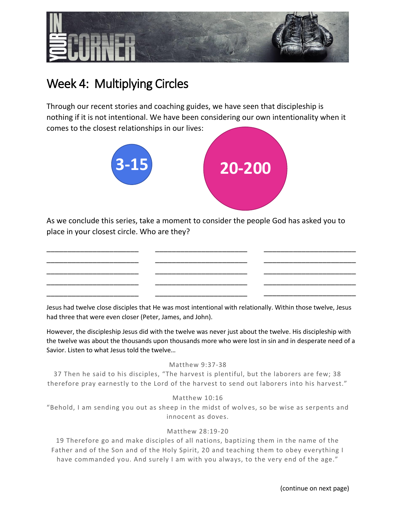

# Week 4: Multiplying Circles

\_\_\_\_\_\_\_\_\_\_\_\_\_\_\_\_\_\_\_\_\_\_ \_\_\_\_\_\_\_\_\_\_\_\_\_\_\_\_\_\_\_\_\_\_ \_\_\_\_\_\_\_\_\_\_\_\_\_\_\_\_\_\_\_\_\_\_ \_\_\_\_\_\_\_\_\_\_\_\_\_\_\_\_\_\_\_\_\_\_ \_\_\_\_\_\_\_\_\_\_\_\_\_\_\_\_\_\_\_\_\_\_

Through our recent stories and coaching guides, we have seen that discipleship is nothing if it is not intentional. We have been considering our own intentionality when it comes to the closest relationships in our lives:



As we conclude this series, take a moment to consider the people God has asked you to place in your closest circle. Who are they?

> \_\_\_\_\_\_\_\_\_\_\_\_\_\_\_\_\_\_\_\_\_\_ \_\_\_\_\_\_\_\_\_\_\_\_\_\_\_\_\_\_\_\_\_\_ \_\_\_\_\_\_\_\_\_\_\_\_\_\_\_\_\_\_\_\_\_\_ \_\_\_\_\_\_\_\_\_\_\_\_\_\_\_\_\_\_\_\_\_\_ \_\_\_\_\_\_\_\_\_\_\_\_\_\_\_\_\_\_\_\_\_\_

Jesus had twelve close disciples that He was most intentional with relationally. Within those twelve, Jesus had three that were even closer (Peter, James, and John).

However, the discipleship Jesus did with the twelve was never just about the twelve. His discipleship with the twelve was about the thousands upon thousands more who were lost in sin and in desperate need of a Savior. Listen to what Jesus told the twelve…

### Matthew 9:37-38

37 Then he said to his disciples, "The harvest is plentiful, but the laborers are few; 38 therefore pray earnestly to the Lord of the harvest to send out laborers into his harvest."

Matthew 10:16

"Behold, I am sending you out as sheep in the midst of wolv es, so be wise as serpents and innocent as doves.

### Matthew 28:19-20

19 Therefore go and make disciples of all nations, baptizing them in the name of the Father and of the Son and of the Holy Spirit, 20 and teaching them to obey everything I have commanded you. And surely I am with you always, to the very end of the age."

\_\_\_\_\_\_\_\_\_\_\_\_\_\_\_\_\_\_\_\_\_\_ \_\_\_\_\_\_\_\_\_\_\_\_\_\_\_\_\_\_\_\_\_\_ \_\_\_\_\_\_\_\_\_\_\_\_\_\_\_\_\_\_\_\_\_\_ \_\_\_\_\_\_\_\_\_\_\_\_\_\_\_\_\_\_\_\_\_\_ \_\_\_\_\_\_\_\_\_\_\_\_\_\_\_\_\_\_\_\_\_\_